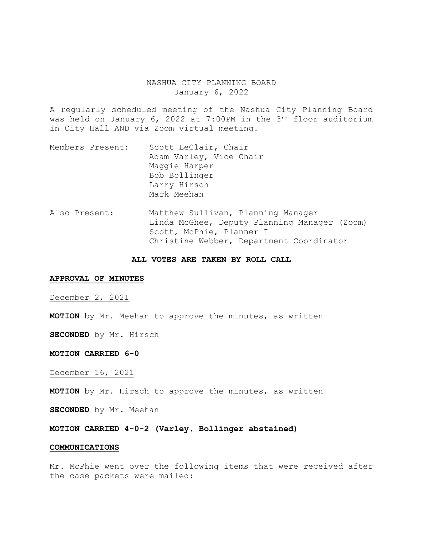## NASHUA CITY PLANNING BOARD January 6, 2022

A regularly scheduled meeting of the Nashua City Planning Board was held on January 6, 2022 at 7:00PM in the 3rd floor auditorium in City Hall AND via Zoom virtual meeting.

- Members Present: Scott LeClair, Chair Adam Varley, Vice Chair Maggie Harper Bob Bollinger Larry Hirsch Mark Meehan
- Also Present: Matthew Sullivan, Planning Manager Linda McGhee, Deputy Planning Manager (Zoom) Scott, McPhie, Planner I Christine Webber, Department Coordinator

#### **ALL VOTES ARE TAKEN BY ROLL CALL**

### **APPROVAL OF MINUTES**

December 2, 2021

**MOTION** by Mr. Meehan to approve the minutes, as written

**SECONDED** by Mr. Hirsch

**MOTION CARRIED 6-0** 

December 16, 2021

**MOTION** by Mr. Hirsch to approve the minutes, as written

**SECONDED** by Mr. Meehan

**MOTION CARRIED 4-0-2 (Varley, Bollinger abstained)** 

#### **COMMUNICATIONS**

Mr. McPhie went over the following items that were received after the case packets were mailed: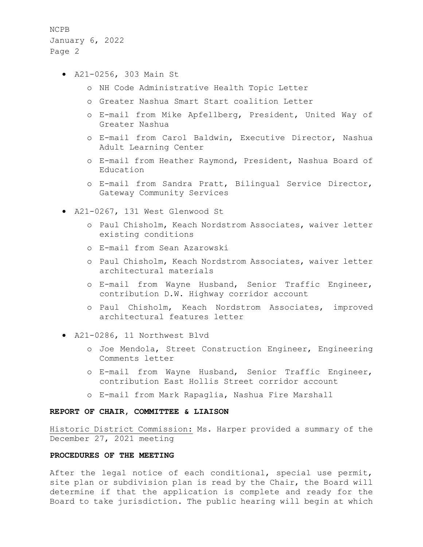- A21-0256, 303 Main St
	- o NH Code Administrative Health Topic Letter
	- o Greater Nashua Smart Start coalition Letter
	- o E-mail from Mike Apfellberg, President, United Way of Greater Nashua
	- o E-mail from Carol Baldwin, Executive Director, Nashua Adult Learning Center
	- o E-mail from Heather Raymond, President, Nashua Board of Education
	- o E-mail from Sandra Pratt, Bilingual Service Director, Gateway Community Services
- A21-0267, 131 West Glenwood St
	- o Paul Chisholm, Keach Nordstrom Associates, waiver letter existing conditions
	- o E-mail from Sean Azarowski
	- o Paul Chisholm, Keach Nordstrom Associates, waiver letter architectural materials
	- o E-mail from Wayne Husband, Senior Traffic Engineer, contribution D.W. Highway corridor account
	- o Paul Chisholm, Keach Nordstrom Associates, improved architectural features letter
- A21-0286, 11 Northwest Blvd
	- o Joe Mendola, Street Construction Engineer, Engineering Comments letter
	- o E-mail from Wayne Husband, Senior Traffic Engineer, contribution East Hollis Street corridor account
	- o E-mail from Mark Rapaglia, Nashua Fire Marshall

#### **REPORT OF CHAIR, COMMITTEE & LIAISON**

Historic District Commission: Ms. Harper provided a summary of the December 27, 2021 meeting

## **PROCEDURES OF THE MEETING**

After the legal notice of each conditional, special use permit, site plan or subdivision plan is read by the Chair, the Board will determine if that the application is complete and ready for the Board to take jurisdiction. The public hearing will begin at which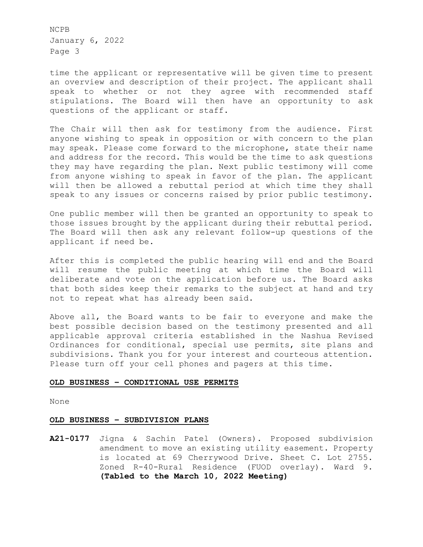time the applicant or representative will be given time to present an overview and description of their project. The applicant shall speak to whether or not they agree with recommended staff stipulations. The Board will then have an opportunity to ask questions of the applicant or staff.

The Chair will then ask for testimony from the audience. First anyone wishing to speak in opposition or with concern to the plan may speak. Please come forward to the microphone, state their name and address for the record. This would be the time to ask questions they may have regarding the plan. Next public testimony will come from anyone wishing to speak in favor of the plan. The applicant will then be allowed a rebuttal period at which time they shall speak to any issues or concerns raised by prior public testimony.

One public member will then be granted an opportunity to speak to those issues brought by the applicant during their rebuttal period. The Board will then ask any relevant follow-up questions of the applicant if need be.

After this is completed the public hearing will end and the Board will resume the public meeting at which time the Board will deliberate and vote on the application before us. The Board asks that both sides keep their remarks to the subject at hand and try not to repeat what has already been said.

Above all, the Board wants to be fair to everyone and make the best possible decision based on the testimony presented and all applicable approval criteria established in the Nashua Revised Ordinances for conditional, special use permits, site plans and subdivisions. Thank you for your interest and courteous attention. Please turn off your cell phones and pagers at this time.

## **OLD BUSINESS – CONDITIONAL USE PERMITS**

None

## **OLD BUSINESS – SUBDIVISION PLANS**

**A21-0177** Jigna & Sachin Patel (Owners). Proposed subdivision amendment to move an existing utility easement. Property is located at 69 Cherrywood Drive. Sheet C. Lot 2755. Zoned R-40-Rural Residence (FUOD overlay). Ward 9. **(Tabled to the March 10, 2022 Meeting)**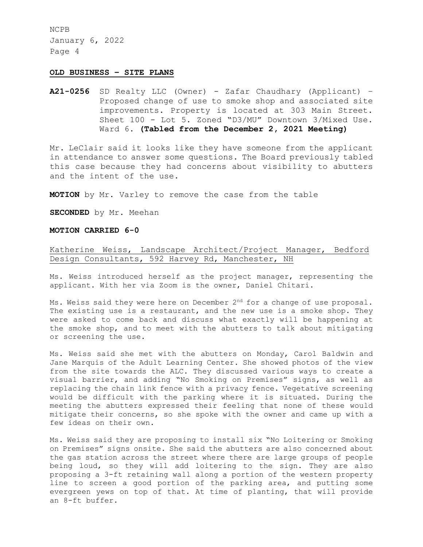### **OLD BUSINESS – SITE PLANS**

**A21-0256** SD Realty LLC (Owner) - Zafar Chaudhary (Applicant) – Proposed change of use to smoke shop and associated site improvements. Property is located at 303 Main Street. Sheet 100 - Lot 5. Zoned "D3/MU" Downtown 3/Mixed Use. Ward 6**. (Tabled from the December 2, 2021 Meeting)**

Mr. LeClair said it looks like they have someone from the applicant in attendance to answer some questions. The Board previously tabled this case because they had concerns about visibility to abutters and the intent of the use.

**MOTION** by Mr. Varley to remove the case from the table

**SECONDED** by Mr. Meehan

#### **MOTION CARRIED 6-0**

# Katherine Weiss, Landscape Architect/Project Manager, Bedford Design Consultants, 592 Harvey Rd, Manchester, NH

Ms. Weiss introduced herself as the project manager, representing the applicant. With her via Zoom is the owner, Daniel Chitari.

Ms. Weiss said they were here on December 2<sup>nd</sup> for a change of use proposal. The existing use is a restaurant, and the new use is a smoke shop. They were asked to come back and discuss what exactly will be happening at the smoke shop, and to meet with the abutters to talk about mitigating or screening the use.

Ms. Weiss said she met with the abutters on Monday, Carol Baldwin and Jane Marquis of the Adult Learning Center. She showed photos of the view from the site towards the ALC. They discussed various ways to create a visual barrier, and adding "No Smoking on Premises" signs, as well as replacing the chain link fence with a privacy fence. Vegetative screening would be difficult with the parking where it is situated. During the meeting the abutters expressed their feeling that none of these would mitigate their concerns, so she spoke with the owner and came up with a few ideas on their own.

Ms. Weiss said they are proposing to install six "No Loitering or Smoking on Premises" signs onsite. She said the abutters are also concerned about the gas station across the street where there are large groups of people being loud, so they will add loitering to the sign. They are also proposing a 3-ft retaining wall along a portion of the western property line to screen a good portion of the parking area, and putting some evergreen yews on top of that. At time of planting, that will provide an 8-ft buffer.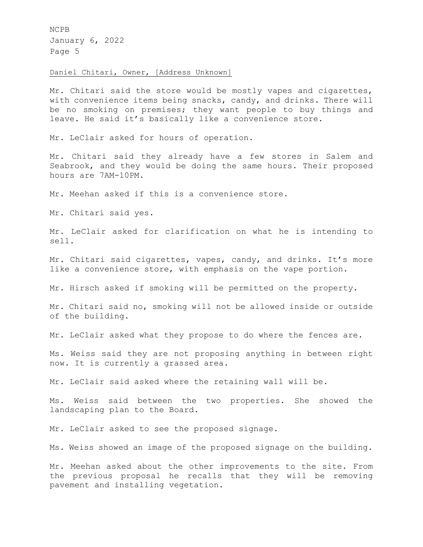# Daniel Chitari, Owner, [Address Unknown]

Mr. Chitari said the store would be mostly vapes and cigarettes, with convenience items being snacks, candy, and drinks. There will be no smoking on premises; they want people to buy things and leave. He said it's basically like a convenience store.

Mr. LeClair asked for hours of operation.

Mr. Chitari said they already have a few stores in Salem and Seabrook, and they would be doing the same hours. Their proposed hours are 7AM-10PM.

Mr. Meehan asked if this is a convenience store.

Mr. Chitari said yes.

Mr. LeClair asked for clarification on what he is intending to sell.

Mr. Chitari said cigarettes, vapes, candy, and drinks. It's more like a convenience store, with emphasis on the vape portion.

Mr. Hirsch asked if smoking will be permitted on the property.

Mr. Chitari said no, smoking will not be allowed inside or outside of the building.

Mr. LeClair asked what they propose to do where the fences are.

Ms. Weiss said they are not proposing anything in between right now. It is currently a grassed area.

Mr. LeClair said asked where the retaining wall will be.

Ms. Weiss said between the two properties. She showed the landscaping plan to the Board.

Mr. LeClair asked to see the proposed signage.

Ms. Weiss showed an image of the proposed signage on the building.

Mr. Meehan asked about the other improvements to the site. From the previous proposal he recalls that they will be removing pavement and installing vegetation.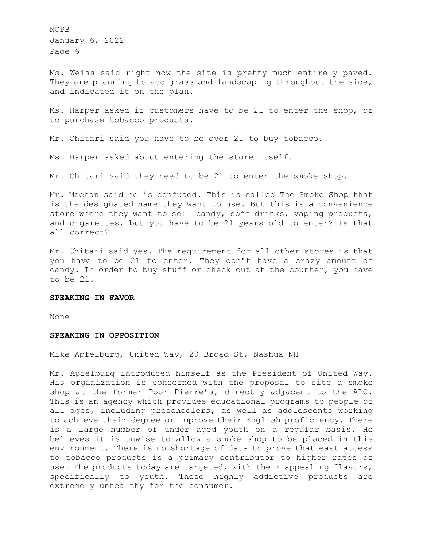Ms. Weiss said right now the site is pretty much entirely paved. They are planning to add grass and landscaping throughout the side, and indicated it on the plan.

Ms. Harper asked if customers have to be 21 to enter the shop, or to purchase tobacco products.

Mr. Chitari said you have to be over 21 to buy tobacco.

Ms. Harper asked about entering the store itself.

Mr. Chitari said they need to be 21 to enter the smoke shop.

Mr. Meehan said he is confused. This is called The Smoke Shop that is the designated name they want to use. But this is a convenience store where they want to sell candy, soft drinks, vaping products, and cigarettes, but you have to be 21 years old to enter? Is that all correct?

Mr. Chitari said yes. The requirement for all other stores is that you have to be 21 to enter. They don't have a crazy amount of candy. In order to buy stuff or check out at the counter, you have to be 21.

### **SPEAKING IN FAVOR**

None

### **SPEAKING IN OPPOSITION**

### Mike Apfelburg, United Way, 20 Broad St, Nashua NH

Mr. Apfelburg introduced himself as the President of United Way. His organization is concerned with the proposal to site a smoke shop at the former Poor Pierre's, directly adjacent to the ALC. This is an agency which provides educational programs to people of all ages, including preschoolers, as well as adolescents working to achieve their degree or improve their English proficiency. There is a large number of under aged youth on a regular basis. He believes it is unwise to allow a smoke shop to be placed in this environment. There is no shortage of data to prove that east access to tobacco products is a primary contributor to higher rates of use. The products today are targeted, with their appealing flavors, specifically to youth. These highly addictive products are extremely unhealthy for the consumer.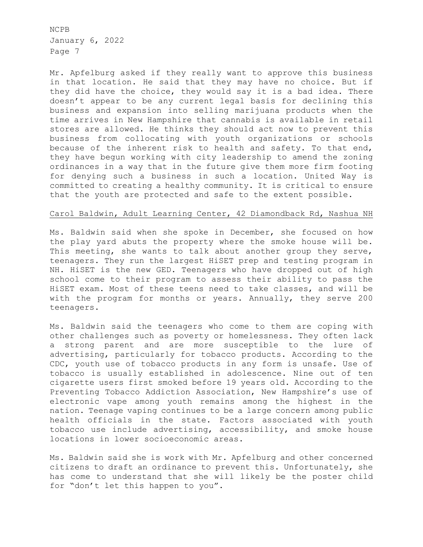Mr. Apfelburg asked if they really want to approve this business in that location. He said that they may have no choice. But if they did have the choice, they would say it is a bad idea. There doesn't appear to be any current legal basis for declining this business and expansion into selling marijuana products when the time arrives in New Hampshire that cannabis is available in retail stores are allowed. He thinks they should act now to prevent this business from collocating with youth organizations or schools because of the inherent risk to health and safety. To that end, they have begun working with city leadership to amend the zoning ordinances in a way that in the future give them more firm footing for denying such a business in such a location. United Way is committed to creating a healthy community. It is critical to ensure that the youth are protected and safe to the extent possible.

### Carol Baldwin, Adult Learning Center, 42 Diamondback Rd, Nashua NH

Ms. Baldwin said when she spoke in December, she focused on how the play yard abuts the property where the smoke house will be. This meeting, she wants to talk about another group they serve, teenagers. They run the largest HiSET prep and testing program in NH. HiSET is the new GED. Teenagers who have dropped out of high school come to their program to assess their ability to pass the HiSET exam. Most of these teens need to take classes, and will be with the program for months or years. Annually, they serve 200 teenagers.

Ms. Baldwin said the teenagers who come to them are coping with other challenges such as poverty or homelessness. They often lack a strong parent and are more susceptible to the lure of advertising, particularly for tobacco products. According to the CDC, youth use of tobacco products in any form is unsafe. Use of tobacco is usually established in adolescence. Nine out of ten cigarette users first smoked before 19 years old. According to the Preventing Tobacco Addiction Association, New Hampshire's use of electronic vape among youth remains among the highest in the nation. Teenage vaping continues to be a large concern among public health officials in the state. Factors associated with youth tobacco use include advertising, accessibility, and smoke house locations in lower socioeconomic areas.

Ms. Baldwin said she is work with Mr. Apfelburg and other concerned citizens to draft an ordinance to prevent this. Unfortunately, she has come to understand that she will likely be the poster child for "don't let this happen to you".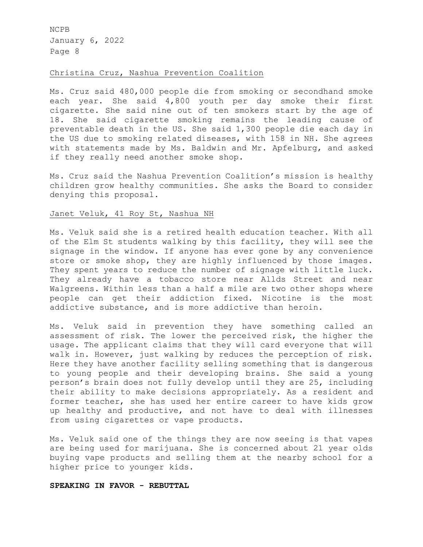### Christina Cruz, Nashua Prevention Coalition

Ms. Cruz said 480,000 people die from smoking or secondhand smoke each year. She said 4,800 youth per day smoke their first cigarette. She said nine out of ten smokers start by the age of 18. She said cigarette smoking remains the leading cause of preventable death in the US. She said 1,300 people die each day in the US due to smoking related diseases, with 158 in NH. She agrees with statements made by Ms. Baldwin and Mr. Apfelburg, and asked if they really need another smoke shop.

Ms. Cruz said the Nashua Prevention Coalition's mission is healthy children grow healthy communities. She asks the Board to consider denying this proposal.

## Janet Veluk, 41 Roy St, Nashua NH

Ms. Veluk said she is a retired health education teacher. With all of the Elm St students walking by this facility, they will see the signage in the window. If anyone has ever gone by any convenience store or smoke shop, they are highly influenced by those images. They spent years to reduce the number of signage with little luck. They already have a tobacco store near Allds Street and near Walgreens. Within less than a half a mile are two other shops where people can get their addiction fixed. Nicotine is the most addictive substance, and is more addictive than heroin.

Ms. Veluk said in prevention they have something called an assessment of risk. The lower the perceived risk, the higher the usage. The applicant claims that they will card everyone that will walk in. However, just walking by reduces the perception of risk. Here they have another facility selling something that is dangerous to young people and their developing brains. She said a young person's brain does not fully develop until they are 25, including their ability to make decisions appropriately. As a resident and former teacher, she has used her entire career to have kids grow up healthy and productive, and not have to deal with illnesses from using cigarettes or vape products.

Ms. Veluk said one of the things they are now seeing is that vapes are being used for marijuana. She is concerned about 21 year olds buying vape products and selling them at the nearby school for a higher price to younger kids.

## **SPEAKING IN FAVOR - REBUTTAL**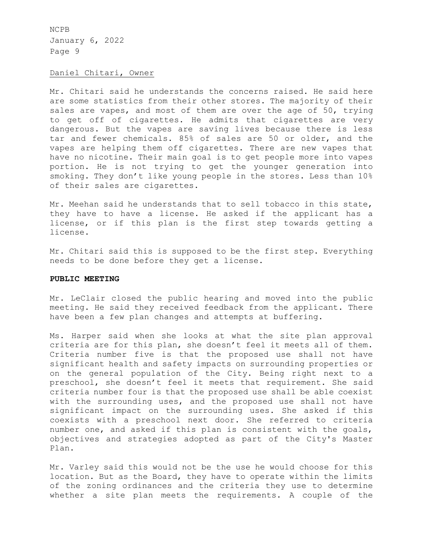## Daniel Chitari, Owner

Mr. Chitari said he understands the concerns raised. He said here are some statistics from their other stores. The majority of their sales are vapes, and most of them are over the age of 50, trying to get off of cigarettes. He admits that cigarettes are very dangerous. But the vapes are saving lives because there is less tar and fewer chemicals. 85% of sales are 50 or older, and the vapes are helping them off cigarettes. There are new vapes that have no nicotine. Their main goal is to get people more into vapes portion. He is not trying to get the younger generation into smoking. They don't like young people in the stores. Less than 10% of their sales are cigarettes.

Mr. Meehan said he understands that to sell tobacco in this state, they have to have a license. He asked if the applicant has a license, or if this plan is the first step towards getting a license.

Mr. Chitari said this is supposed to be the first step. Everything needs to be done before they get a license.

### **PUBLIC MEETING**

Mr. LeClair closed the public hearing and moved into the public meeting. He said they received feedback from the applicant. There have been a few plan changes and attempts at buffering.

Ms. Harper said when she looks at what the site plan approval criteria are for this plan, she doesn't feel it meets all of them. Criteria number five is that the proposed use shall not have significant health and safety impacts on surrounding properties or on the general population of the City. Being right next to a preschool, she doesn't feel it meets that requirement. She said criteria number four is that the proposed use shall be able coexist with the surrounding uses, and the proposed use shall not have significant impact on the surrounding uses. She asked if this coexists with a preschool next door. She referred to criteria number one, and asked if this plan is consistent with the goals, objectives and strategies adopted as part of the City's Master Plan.

Mr. Varley said this would not be the use he would choose for this location. But as the Board, they have to operate within the limits of the zoning ordinances and the criteria they use to determine whether a site plan meets the requirements. A couple of the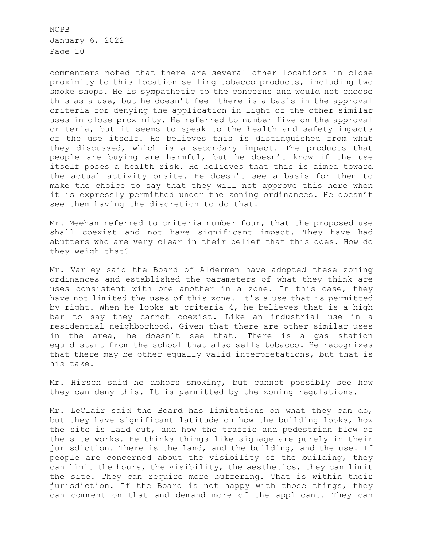commenters noted that there are several other locations in close proximity to this location selling tobacco products, including two smoke shops. He is sympathetic to the concerns and would not choose this as a use, but he doesn't feel there is a basis in the approval criteria for denying the application in light of the other similar uses in close proximity. He referred to number five on the approval criteria, but it seems to speak to the health and safety impacts of the use itself. He believes this is distinguished from what they discussed, which is a secondary impact. The products that people are buying are harmful, but he doesn't know if the use itself poses a health risk. He believes that this is aimed toward the actual activity onsite. He doesn't see a basis for them to make the choice to say that they will not approve this here when it is expressly permitted under the zoning ordinances. He doesn't see them having the discretion to do that.

Mr. Meehan referred to criteria number four, that the proposed use shall coexist and not have significant impact. They have had abutters who are very clear in their belief that this does. How do they weigh that?

Mr. Varley said the Board of Aldermen have adopted these zoning ordinances and established the parameters of what they think are uses consistent with one another in a zone. In this case, they have not limited the uses of this zone. It's a use that is permitted by right. When he looks at criteria 4, he believes that is a high bar to say they cannot coexist. Like an industrial use in a residential neighborhood. Given that there are other similar uses in the area, he doesn't see that. There is a gas station equidistant from the school that also sells tobacco. He recognizes that there may be other equally valid interpretations, but that is his take.

Mr. Hirsch said he abhors smoking, but cannot possibly see how they can deny this. It is permitted by the zoning regulations.

Mr. LeClair said the Board has limitations on what they can do, but they have significant latitude on how the building looks, how the site is laid out, and how the traffic and pedestrian flow of the site works. He thinks things like signage are purely in their jurisdiction. There is the land, and the building, and the use. If people are concerned about the visibility of the building, they can limit the hours, the visibility, the aesthetics, they can limit the site. They can require more buffering. That is within their jurisdiction. If the Board is not happy with those things, they can comment on that and demand more of the applicant. They can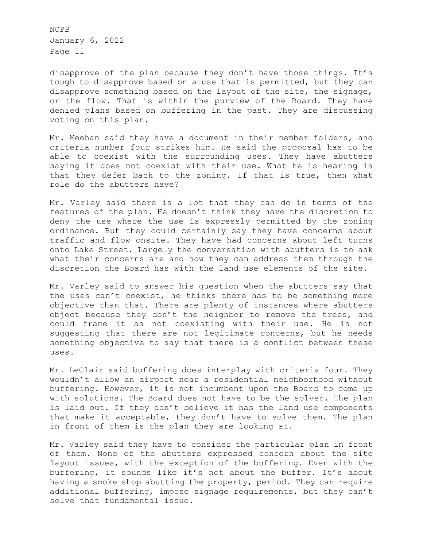disapprove of the plan because they don't have those things. It's tough to disapprove based on a use that is permitted, but they can disapprove something based on the layout of the site, the signage, or the flow. That is within the purview of the Board. They have denied plans based on buffering in the past. They are discussing voting on this plan.

Mr. Meehan said they have a document in their member folders, and criteria number four strikes him. He said the proposal has to be able to coexist with the surrounding uses. They have abutters saying it does not coexist with their use. What he is hearing is that they defer back to the zoning. If that is true, then what role do the abutters have?

Mr. Varley said there is a lot that they can do in terms of the features of the plan. He doesn't think they have the discretion to deny the use where the use is expressly permitted by the zoning ordinance. But they could certainly say they have concerns about traffic and flow onsite. They have had concerns about left turns onto Lake Street. Largely the conversation with abutters is to ask what their concerns are and how they can address them through the discretion the Board has with the land use elements of the site.

Mr. Varley said to answer his question when the abutters say that the uses can't coexist, he thinks there has to be something more objective than that. There are plenty of instances where abutters object because they don't the neighbor to remove the trees, and could frame it as not coexisting with their use. He is not suggesting that there are not legitimate concerns, but he needs something objective to say that there is a conflict between these uses.

Mr. LeClair said buffering does interplay with criteria four. They wouldn't allow an airport near a residential neighborhood without buffering. However, it is not incumbent upon the Board to come up with solutions. The Board does not have to be the solver. The plan is laid out. If they don't believe it has the land use components that make it acceptable, they don't have to solve them. The plan in front of them is the plan they are looking at.

Mr. Varley said they have to consider the particular plan in front of them. None of the abutters expressed concern about the site layout issues, with the exception of the buffering. Even with the buffering, it sounds like it's not about the buffer. It's about having a smoke shop abutting the property, period. They can require additional buffering, impose signage requirements, but they can't solve that fundamental issue.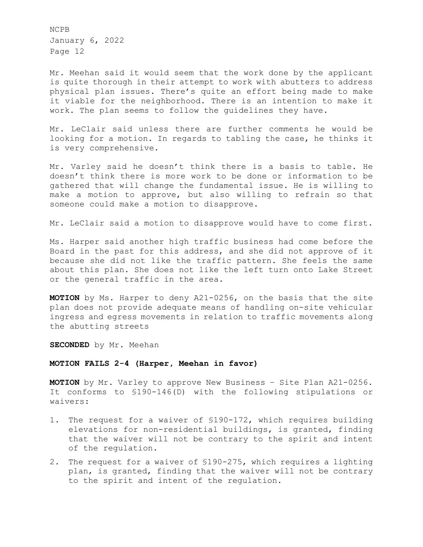Mr. Meehan said it would seem that the work done by the applicant is quite thorough in their attempt to work with abutters to address physical plan issues. There's quite an effort being made to make it viable for the neighborhood. There is an intention to make it work. The plan seems to follow the guidelines they have.

Mr. LeClair said unless there are further comments he would be looking for a motion. In regards to tabling the case, he thinks it is very comprehensive.

Mr. Varley said he doesn't think there is a basis to table. He doesn't think there is more work to be done or information to be gathered that will change the fundamental issue. He is willing to make a motion to approve, but also willing to refrain so that someone could make a motion to disapprove.

Mr. LeClair said a motion to disapprove would have to come first.

Ms. Harper said another high traffic business had come before the Board in the past for this address, and she did not approve of it because she did not like the traffic pattern. She feels the same about this plan. She does not like the left turn onto Lake Street or the general traffic in the area.

**MOTION** by Ms. Harper to deny A21-0256, on the basis that the site plan does not provide adequate means of handling on-site vehicular ingress and egress movements in relation to traffic movements along the abutting streets

**SECONDED** by Mr. Meehan

### **MOTION FAILS 2-4 (Harper, Meehan in favor)**

**MOTION** by Mr. Varley to approve New Business – Site Plan A21-0256. It conforms to §190-146(D) with the following stipulations or waivers:

- 1. The request for a waiver of §190-172, which requires building elevations for non-residential buildings, is granted, finding that the waiver will not be contrary to the spirit and intent of the regulation.
- 2. The request for a waiver of §190-275, which requires a lighting plan, is granted, finding that the waiver will not be contrary to the spirit and intent of the regulation.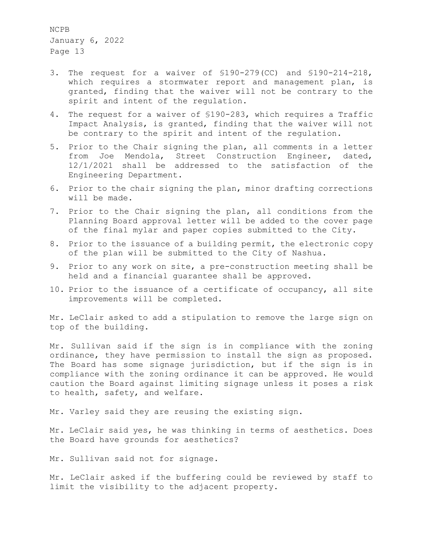- 3. The request for a waiver of §190-279(CC) and §190-214-218, which requires a stormwater report and management plan, is granted, finding that the waiver will not be contrary to the spirit and intent of the regulation.
- 4. The request for a waiver of §190-283, which requires a Traffic Impact Analysis, is granted, finding that the waiver will not be contrary to the spirit and intent of the regulation.
- 5. Prior to the Chair signing the plan, all comments in a letter from Joe Mendola, Street Construction Engineer, dated, 12/1/2021 shall be addressed to the satisfaction of the Engineering Department.
- 6. Prior to the chair signing the plan, minor drafting corrections will be made.
- 7. Prior to the Chair signing the plan, all conditions from the Planning Board approval letter will be added to the cover page of the final mylar and paper copies submitted to the City.
- 8. Prior to the issuance of a building permit, the electronic copy of the plan will be submitted to the City of Nashua.
- 9. Prior to any work on site, a pre-construction meeting shall be held and a financial guarantee shall be approved.
- 10. Prior to the issuance of a certificate of occupancy, all site improvements will be completed.

Mr. LeClair asked to add a stipulation to remove the large sign on top of the building.

Mr. Sullivan said if the sign is in compliance with the zoning ordinance, they have permission to install the sign as proposed. The Board has some signage jurisdiction, but if the sign is in compliance with the zoning ordinance it can be approved. He would caution the Board against limiting signage unless it poses a risk to health, safety, and welfare.

Mr. Varley said they are reusing the existing sign.

Mr. LeClair said yes, he was thinking in terms of aesthetics. Does the Board have grounds for aesthetics?

Mr. Sullivan said not for signage.

Mr. LeClair asked if the buffering could be reviewed by staff to limit the visibility to the adjacent property.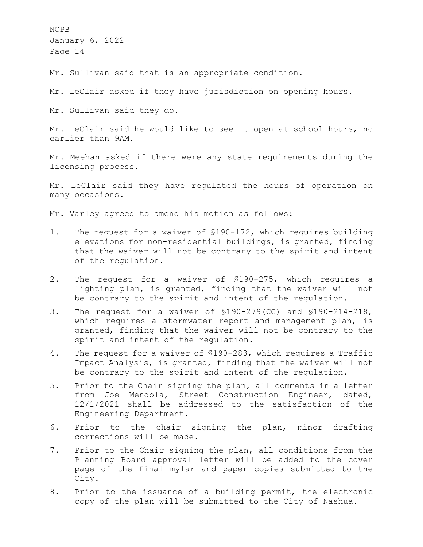Mr. Sullivan said that is an appropriate condition.

Mr. LeClair asked if they have jurisdiction on opening hours.

Mr. Sullivan said they do.

Mr. LeClair said he would like to see it open at school hours, no earlier than 9AM.

Mr. Meehan asked if there were any state requirements during the licensing process.

Mr. LeClair said they have regulated the hours of operation on many occasions.

Mr. Varley agreed to amend his motion as follows:

- 1. The request for a waiver of §190-172, which requires building elevations for non-residential buildings, is granted, finding that the waiver will not be contrary to the spirit and intent of the regulation.
- 2. The request for a waiver of §190-275, which requires a lighting plan, is granted, finding that the waiver will not be contrary to the spirit and intent of the regulation.
- 3. The request for a waiver of §190-279(CC) and §190-214-218, which requires a stormwater report and management plan, is granted, finding that the waiver will not be contrary to the spirit and intent of the regulation.
- 4. The request for a waiver of §190-283, which requires a Traffic Impact Analysis, is granted, finding that the waiver will not be contrary to the spirit and intent of the regulation.
- 5. Prior to the Chair signing the plan, all comments in a letter from Joe Mendola, Street Construction Engineer, dated, 12/1/2021 shall be addressed to the satisfaction of the Engineering Department.
- 6. Prior to the chair signing the plan, minor drafting corrections will be made.
- 7. Prior to the Chair signing the plan, all conditions from the Planning Board approval letter will be added to the cover page of the final mylar and paper copies submitted to the City.
- 8. Prior to the issuance of a building permit, the electronic copy of the plan will be submitted to the City of Nashua.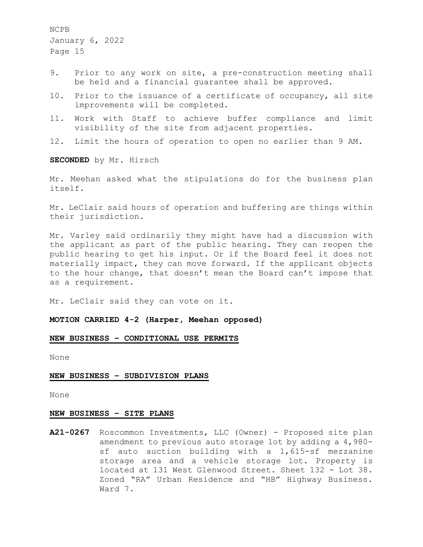- 9. Prior to any work on site, a pre-construction meeting shall be held and a financial guarantee shall be approved.
- 10. Prior to the issuance of a certificate of occupancy, all site improvements will be completed.
- 11. Work with Staff to achieve buffer compliance and limit visibility of the site from adjacent properties.
- 12. Limit the hours of operation to open no earlier than 9 AM.

**SECONDED** by Mr. Hirsch

Mr. Meehan asked what the stipulations do for the business plan itself.

Mr. LeClair said hours of operation and buffering are things within their jurisdiction.

Mr. Varley said ordinarily they might have had a discussion with the applicant as part of the public hearing. They can reopen the public hearing to get his input. Or if the Board feel it does not materially impact, they can move forward. If the applicant objects to the hour change, that doesn't mean the Board can't impose that as a requirement.

Mr. LeClair said they can vote on it.

**MOTION CARRIED 4-2 (Harper, Meehan opposed)**

### **NEW BUSINESS – CONDITIONAL USE PERMITS**

None

#### **NEW BUSINESS – SUBDIVISION PLANS**

None

### **NEW BUSINESS – SITE PLANS**

**A21-0267** Roscommon Investments, LLC (Owner) - Proposed site plan amendment to previous auto storage lot by adding a 4,980 sf auto auction building with a 1,615-sf mezzanine storage area and a vehicle storage lot. Property is located at 131 West Glenwood Street. Sheet 132 - Lot 38. Zoned "RA" Urban Residence and "HB" Highway Business. Ward 7.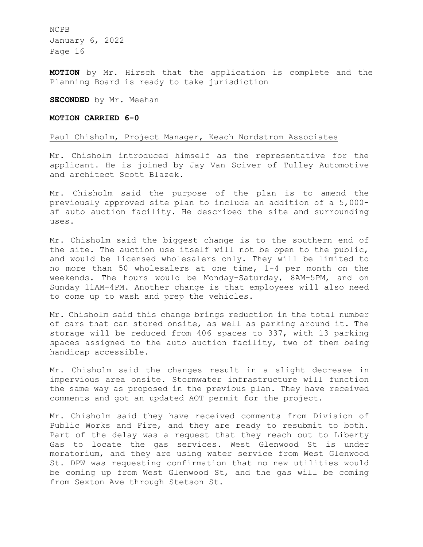**MOTION** by Mr. Hirsch that the application is complete and the Planning Board is ready to take jurisdiction

**SECONDED** by Mr. Meehan

## **MOTION CARRIED 6-0**

### Paul Chisholm, Project Manager, Keach Nordstrom Associates

Mr. Chisholm introduced himself as the representative for the applicant. He is joined by Jay Van Sciver of Tulley Automotive and architect Scott Blazek.

Mr. Chisholm said the purpose of the plan is to amend the previously approved site plan to include an addition of a 5,000 sf auto auction facility. He described the site and surrounding uses.

Mr. Chisholm said the biggest change is to the southern end of the site. The auction use itself will not be open to the public, and would be licensed wholesalers only. They will be limited to no more than 50 wholesalers at one time, 1-4 per month on the weekends. The hours would be Monday-Saturday, 8AM-5PM, and on Sunday 11AM-4PM. Another change is that employees will also need to come up to wash and prep the vehicles.

Mr. Chisholm said this change brings reduction in the total number of cars that can stored onsite, as well as parking around it. The storage will be reduced from 406 spaces to 337, with 13 parking spaces assigned to the auto auction facility, two of them being handicap accessible.

Mr. Chisholm said the changes result in a slight decrease in impervious area onsite. Stormwater infrastructure will function the same way as proposed in the previous plan. They have received comments and got an updated AOT permit for the project.

Mr. Chisholm said they have received comments from Division of Public Works and Fire, and they are ready to resubmit to both. Part of the delay was a request that they reach out to Liberty Gas to locate the gas services. West Glenwood St is under moratorium, and they are using water service from West Glenwood St. DPW was requesting confirmation that no new utilities would be coming up from West Glenwood St, and the gas will be coming from Sexton Ave through Stetson St.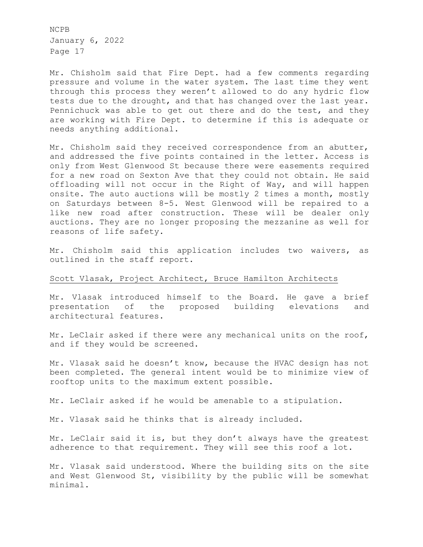Mr. Chisholm said that Fire Dept. had a few comments regarding pressure and volume in the water system. The last time they went through this process they weren't allowed to do any hydric flow tests due to the drought, and that has changed over the last year. Pennichuck was able to get out there and do the test, and they are working with Fire Dept. to determine if this is adequate or needs anything additional.

Mr. Chisholm said they received correspondence from an abutter, and addressed the five points contained in the letter. Access is only from West Glenwood St because there were easements required for a new road on Sexton Ave that they could not obtain. He said offloading will not occur in the Right of Way, and will happen onsite. The auto auctions will be mostly 2 times a month, mostly on Saturdays between 8-5. West Glenwood will be repaired to a like new road after construction. These will be dealer only auctions. They are no longer proposing the mezzanine as well for reasons of life safety.

Mr. Chisholm said this application includes two waivers, as outlined in the staff report.

### Scott Vlasak, Project Architect, Bruce Hamilton Architects

Mr. Vlasak introduced himself to the Board. He gave a brief presentation of the proposed building elevations and architectural features.

Mr. LeClair asked if there were any mechanical units on the roof, and if they would be screened.

Mr. Vlasak said he doesn't know, because the HVAC design has not been completed. The general intent would be to minimize view of rooftop units to the maximum extent possible.

Mr. LeClair asked if he would be amenable to a stipulation.

Mr. Vlasak said he thinks that is already included.

Mr. LeClair said it is, but they don't always have the greatest adherence to that requirement. They will see this roof a lot.

Mr. Vlasak said understood. Where the building sits on the site and West Glenwood St, visibility by the public will be somewhat minimal.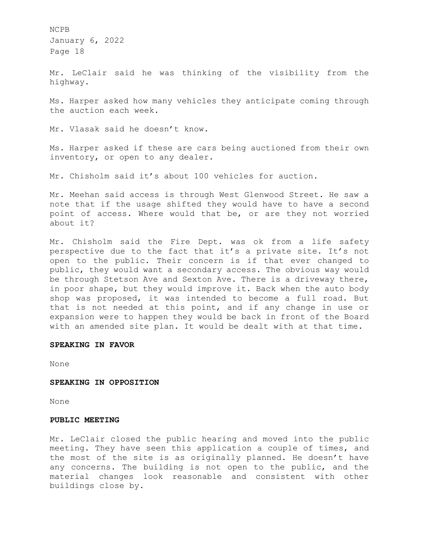Mr. LeClair said he was thinking of the visibility from the highway.

Ms. Harper asked how many vehicles they anticipate coming through the auction each week.

Mr. Vlasak said he doesn't know.

Ms. Harper asked if these are cars being auctioned from their own inventory, or open to any dealer.

Mr. Chisholm said it's about 100 vehicles for auction.

Mr. Meehan said access is through West Glenwood Street. He saw a note that if the usage shifted they would have to have a second point of access. Where would that be, or are they not worried about it?

Mr. Chisholm said the Fire Dept. was ok from a life safety perspective due to the fact that it's a private site. It's not open to the public. Their concern is if that ever changed to public, they would want a secondary access. The obvious way would be through Stetson Ave and Sexton Ave. There is a driveway there, in poor shape, but they would improve it. Back when the auto body shop was proposed, it was intended to become a full road. But that is not needed at this point, and if any change in use or expansion were to happen they would be back in front of the Board with an amended site plan. It would be dealt with at that time.

#### **SPEAKING IN FAVOR**

None

#### **SPEAKING IN OPPOSITION**

None

#### **PUBLIC MEETING**

Mr. LeClair closed the public hearing and moved into the public meeting. They have seen this application a couple of times, and the most of the site is as originally planned. He doesn't have any concerns. The building is not open to the public, and the material changes look reasonable and consistent with other buildings close by.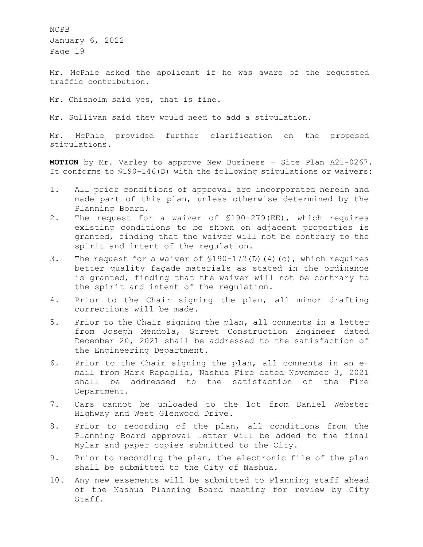Mr. McPhie asked the applicant if he was aware of the requested traffic contribution.

Mr. Chisholm said yes, that is fine.

Mr. Sullivan said they would need to add a stipulation.

Mr. McPhie provided further clarification on the proposed stipulations.

**MOTION** by Mr. Varley to approve New Business – Site Plan A21-0267. It conforms to §190-146(D) with the following stipulations or waivers:

- 1. All prior conditions of approval are incorporated herein and made part of this plan, unless otherwise determined by the Planning Board.
- 2. The request for a waiver of §190-279(EE), which requires existing conditions to be shown on adjacent properties is granted, finding that the waiver will not be contrary to the spirit and intent of the regulation.
- 3. The request for a waiver of §190-172(D)(4)(c), which requires better quality façade materials as stated in the ordinance is granted, finding that the waiver will not be contrary to the spirit and intent of the regulation.
- 4. Prior to the Chair signing the plan, all minor drafting corrections will be made.
- 5. Prior to the Chair signing the plan, all comments in a letter from Joseph Mendola, Street Construction Engineer dated December 20, 2021 shall be addressed to the satisfaction of the Engineering Department.
- 6. Prior to the Chair signing the plan, all comments in an email from Mark Rapaglia, Nashua Fire dated November 3, 2021 shall be addressed to the satisfaction of the Fire Department.
- 7. Cars cannot be unloaded to the lot from Daniel Webster Highway and West Glenwood Drive.
- 8. Prior to recording of the plan, all conditions from the Planning Board approval letter will be added to the final Mylar and paper copies submitted to the City.
- 9. Prior to recording the plan, the electronic file of the plan shall be submitted to the City of Nashua.
- 10. Any new easements will be submitted to Planning staff ahead of the Nashua Planning Board meeting for review by City Staff.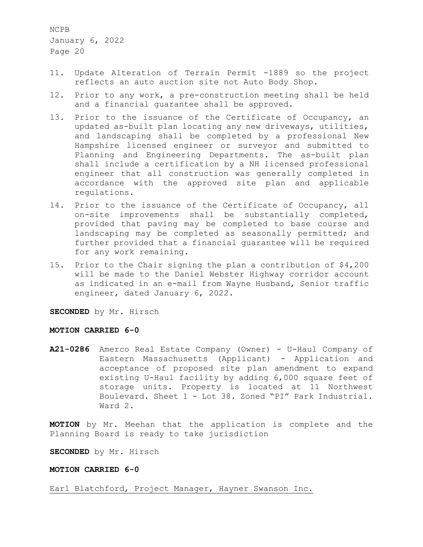- 11. Update Alteration of Terrain Permit -1889 so the project reflects an auto auction site not Auto Body Shop.
- 12. Prior to any work, a pre-construction meeting shall be held and a financial guarantee shall be approved.
- 13. Prior to the issuance of the Certificate of Occupancy, an updated as-built plan locating any new driveways, utilities, and landscaping shall be completed by a professional New Hampshire licensed engineer or surveyor and submitted to Planning and Engineering Departments. The as-built plan shall include a certification by a NH licensed professional engineer that all construction was generally completed in accordance with the approved site plan and applicable regulations.
- 14. Prior to the issuance of the Certificate of Occupancy, all on-site improvements shall be substantially completed, provided that paving may be completed to base course and landscaping may be completed as seasonally permitted; and further provided that a financial guarantee will be required for any work remaining.
- 15. Prior to the Chair signing the plan a contribution of \$4,200 will be made to the Daniel Webster Highway corridor account as indicated in an e-mail from Wayne Husband, Senior traffic engineer, dated January 6, 2022.

**SECONDED** by Mr. Hirsch

## **MOTION CARRIED 6-0**

**A21-0286** Amerco Real Estate Company (Owner) - U-Haul Company of Eastern Massachusetts (Applicant) - Application and acceptance of proposed site plan amendment to expand existing U-Haul facility by adding 6,000 square feet of storage units. Property is located at 11 Northwest Boulevard. Sheet 1 - Lot 38. Zoned "PI" Park Industrial. Ward 2.

**MOTION** by Mr. Meehan that the application is complete and the Planning Board is ready to take jurisdiction

**SECONDED** by Mr. Hirsch

### **MOTION CARRIED 6-0**

Earl Blatchford, Project Manager, Hayner Swanson Inc.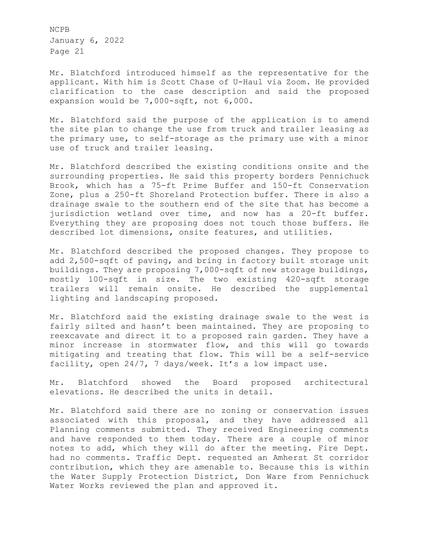Mr. Blatchford introduced himself as the representative for the applicant. With him is Scott Chase of U-Haul via Zoom. He provided clarification to the case description and said the proposed expansion would be 7,000-sqft, not 6,000.

Mr. Blatchford said the purpose of the application is to amend the site plan to change the use from truck and trailer leasing as the primary use, to self-storage as the primary use with a minor use of truck and trailer leasing.

Mr. Blatchford described the existing conditions onsite and the surrounding properties. He said this property borders Pennichuck Brook, which has a 75-ft Prime Buffer and 150-ft Conservation Zone, plus a 250-ft Shoreland Protection buffer. There is also a drainage swale to the southern end of the site that has become a jurisdiction wetland over time, and now has a 20-ft buffer. Everything they are proposing does not touch those buffers. He described lot dimensions, onsite features, and utilities.

Mr. Blatchford described the proposed changes. They propose to add 2,500-sqft of paving, and bring in factory built storage unit buildings. They are proposing 7,000-sqft of new storage buildings, mostly 100-sqft in size. The two existing 420-sqft storage trailers will remain onsite. He described the supplemental lighting and landscaping proposed.

Mr. Blatchford said the existing drainage swale to the west is fairly silted and hasn't been maintained. They are proposing to reexcavate and direct it to a proposed rain garden. They have a minor increase in stormwater flow, and this will go towards mitigating and treating that flow. This will be a self-service facility, open 24/7, 7 days/week. It's a low impact use.

Mr. Blatchford showed the Board proposed architectural elevations. He described the units in detail.

Mr. Blatchford said there are no zoning or conservation issues associated with this proposal, and they have addressed all Planning comments submitted. They received Engineering comments and have responded to them today. There are a couple of minor notes to add, which they will do after the meeting. Fire Dept. had no comments. Traffic Dept. requested an Amherst St corridor contribution, which they are amenable to. Because this is within the Water Supply Protection District, Don Ware from Pennichuck Water Works reviewed the plan and approved it.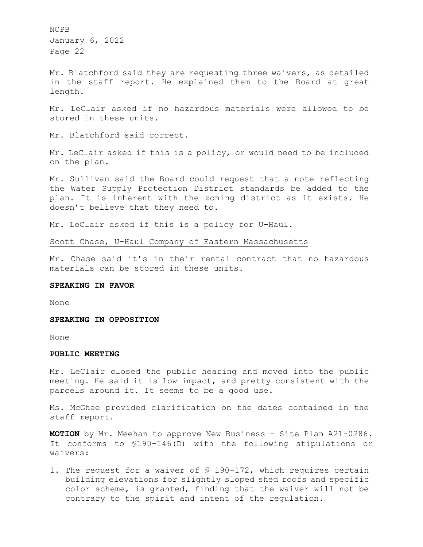Mr. Blatchford said they are requesting three waivers, as detailed in the staff report. He explained them to the Board at great length.

Mr. LeClair asked if no hazardous materials were allowed to be stored in these units.

Mr. Blatchford said correct.

Mr. LeClair asked if this is a policy, or would need to be included on the plan.

Mr. Sullivan said the Board could request that a note reflecting the Water Supply Protection District standards be added to the plan. It is inherent with the zoning district as it exists. He doesn't believe that they need to.

Mr. LeClair asked if this is a policy for U-Haul.

Scott Chase, U-Haul Company of Eastern Massachusetts

Mr. Chase said it's in their rental contract that no hazardous materials can be stored in these units.

## **SPEAKING IN FAVOR**

None

## **SPEAKING IN OPPOSITION**

None

#### **PUBLIC MEETING**

Mr. LeClair closed the public hearing and moved into the public meeting. He said it is low impact, and pretty consistent with the parcels around it. It seems to be a good use.

Ms. McGhee provided clarification on the dates contained in the staff report.

**MOTION** by Mr. Meehan to approve New Business – Site Plan A21-0286. It conforms to §190-146(D) with the following stipulations or waivers:

1. The request for a waiver of § 190-172, which requires certain building elevations for slightly sloped shed roofs and specific color scheme, is granted, finding that the waiver will not be contrary to the spirit and intent of the regulation.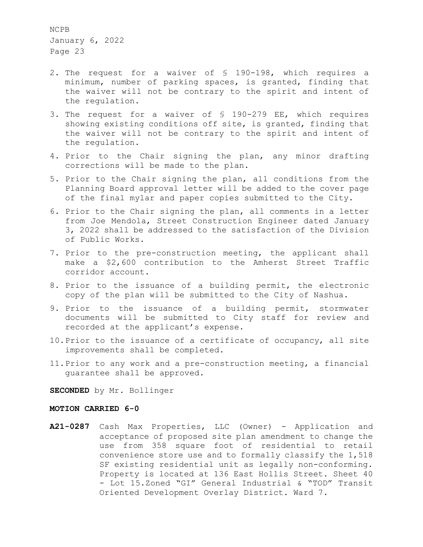- 2. The request for a waiver of § 190-198, which requires a minimum, number of parking spaces, is granted, finding that the waiver will not be contrary to the spirit and intent of the regulation.
- 3. The request for a waiver of § 190-279 EE, which requires showing existing conditions off site, is granted, finding that the waiver will not be contrary to the spirit and intent of the regulation.
- 4. Prior to the Chair signing the plan, any minor drafting corrections will be made to the plan.
- 5. Prior to the Chair signing the plan, all conditions from the Planning Board approval letter will be added to the cover page of the final mylar and paper copies submitted to the City.
- 6. Prior to the Chair signing the plan, all comments in a letter from Joe Mendola, Street Construction Engineer dated January 3, 2022 shall be addressed to the satisfaction of the Division of Public Works.
- 7. Prior to the pre-construction meeting, the applicant shall make a \$2,600 contribution to the Amherst Street Traffic corridor account.
- 8. Prior to the issuance of a building permit, the electronic copy of the plan will be submitted to the City of Nashua.
- 9. Prior to the issuance of a building permit, stormwater documents will be submitted to City staff for review and recorded at the applicant's expense.
- 10.Prior to the issuance of a certificate of occupancy, all site improvements shall be completed.
- 11.Prior to any work and a pre-construction meeting, a financial guarantee shall be approved.

**SECONDED** by Mr. Bollinger

#### **MOTION CARRIED 6-0**

**A21-0287** Cash Max Properties, LLC (Owner) - Application and acceptance of proposed site plan amendment to change the use from 358 square foot of residential to retail convenience store use and to formally classify the 1,518 SF existing residential unit as legally non-conforming. Property is located at 136 East Hollis Street. Sheet 40 - Lot 15.Zoned "GI" General Industrial & "TOD" Transit Oriented Development Overlay District. Ward 7.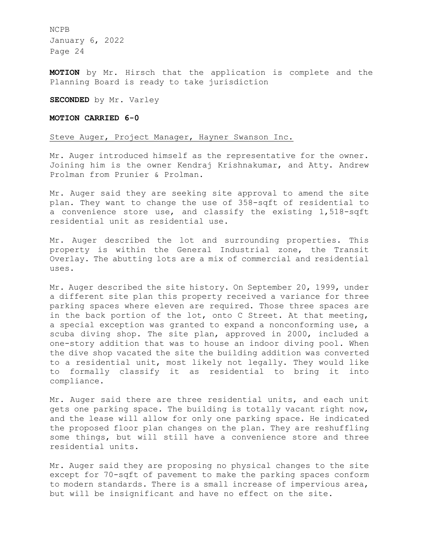**MOTION** by Mr. Hirsch that the application is complete and the Planning Board is ready to take jurisdiction

**SECONDED** by Mr. Varley

## **MOTION CARRIED 6-0**

## Steve Auger, Project Manager, Hayner Swanson Inc.

Mr. Auger introduced himself as the representative for the owner. Joining him is the owner Kendraj Krishnakumar, and Atty. Andrew Prolman from Prunier & Prolman.

Mr. Auger said they are seeking site approval to amend the site plan. They want to change the use of 358-sqft of residential to a convenience store use, and classify the existing 1,518-sqft residential unit as residential use.

Mr. Auger described the lot and surrounding properties. This property is within the General Industrial zone, the Transit Overlay. The abutting lots are a mix of commercial and residential uses.

Mr. Auger described the site history. On September 20, 1999, under a different site plan this property received a variance for three parking spaces where eleven are required. Those three spaces are in the back portion of the lot, onto C Street. At that meeting, a special exception was granted to expand a nonconforming use, a scuba diving shop. The site plan, approved in 2000, included a one-story addition that was to house an indoor diving pool. When the dive shop vacated the site the building addition was converted to a residential unit, most likely not legally. They would like to formally classify it as residential to bring it into compliance.

Mr. Auger said there are three residential units, and each unit gets one parking space. The building is totally vacant right now, and the lease will allow for only one parking space. He indicated the proposed floor plan changes on the plan. They are reshuffling some things, but will still have a convenience store and three residential units.

Mr. Auger said they are proposing no physical changes to the site except for 70-sqft of pavement to make the parking spaces conform to modern standards. There is a small increase of impervious area, but will be insignificant and have no effect on the site.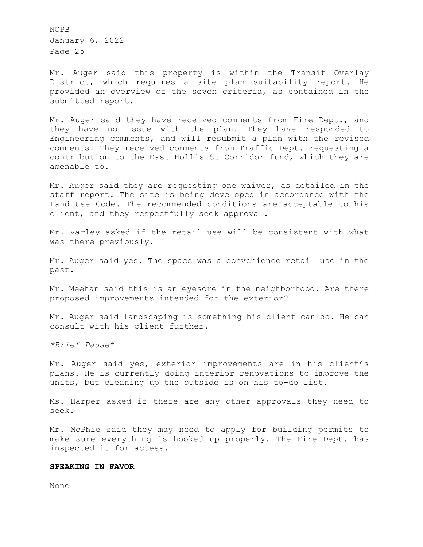Mr. Auger said this property is within the Transit Overlay District, which requires a site plan suitability report. He provided an overview of the seven criteria, as contained in the submitted report.

Mr. Auger said they have received comments from Fire Dept., and they have no issue with the plan. They have responded to Engineering comments, and will resubmit a plan with the revised comments. They received comments from Traffic Dept. requesting a contribution to the East Hollis St Corridor fund, which they are amenable to.

Mr. Auger said they are requesting one waiver, as detailed in the staff report. The site is being developed in accordance with the Land Use Code. The recommended conditions are acceptable to his client, and they respectfully seek approval.

Mr. Varley asked if the retail use will be consistent with what was there previously.

Mr. Auger said yes. The space was a convenience retail use in the past.

Mr. Meehan said this is an eyesore in the neighborhood. Are there proposed improvements intended for the exterior?

Mr. Auger said landscaping is something his client can do. He can consult with his client further.

*\*Brief Pause\** 

Mr. Auger said yes, exterior improvements are in his client's plans. He is currently doing interior renovations to improve the units, but cleaning up the outside is on his to-do list.

Ms. Harper asked if there are any other approvals they need to seek.

Mr. McPhie said they may need to apply for building permits to make sure everything is hooked up properly. The Fire Dept. has inspected it for access.

### **SPEAKING IN FAVOR**

None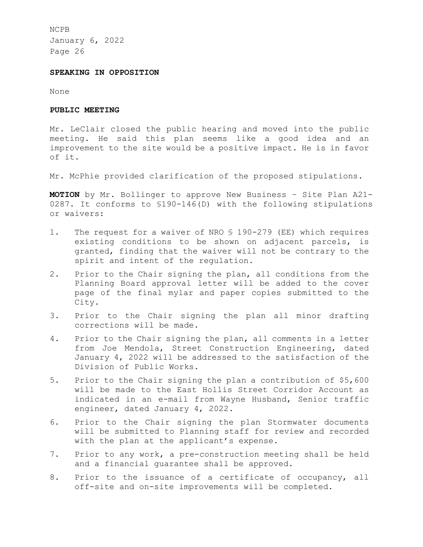## **SPEAKING IN OPPOSITION**

None

## **PUBLIC MEETING**

Mr. LeClair closed the public hearing and moved into the public meeting. He said this plan seems like a good idea and an improvement to the site would be a positive impact. He is in favor of it.

Mr. McPhie provided clarification of the proposed stipulations.

**MOTION** by Mr. Bollinger to approve New Business – Site Plan A21- 0287. It conforms to §190-146(D) with the following stipulations or waivers:

- 1. The request for a waiver of NRO § 190-279 (EE) which requires existing conditions to be shown on adjacent parcels, is granted, finding that the waiver will not be contrary to the spirit and intent of the regulation.
- 2. Prior to the Chair signing the plan, all conditions from the Planning Board approval letter will be added to the cover page of the final mylar and paper copies submitted to the City.
- 3. Prior to the Chair signing the plan all minor drafting corrections will be made.
- 4. Prior to the Chair signing the plan, all comments in a letter from Joe Mendola, Street Construction Engineering, dated January 4, 2022 will be addressed to the satisfaction of the Division of Public Works.
- 5. Prior to the Chair signing the plan a contribution of \$5,600 will be made to the East Hollis Street Corridor Account as indicated in an e-mail from Wayne Husband, Senior traffic engineer, dated January 4, 2022.
- 6. Prior to the Chair signing the plan Stormwater documents will be submitted to Planning staff for review and recorded with the plan at the applicant's expense.
- 7. Prior to any work, a pre-construction meeting shall be held and a financial guarantee shall be approved.
- 8. Prior to the issuance of a certificate of occupancy, all off-site and on-site improvements will be completed.